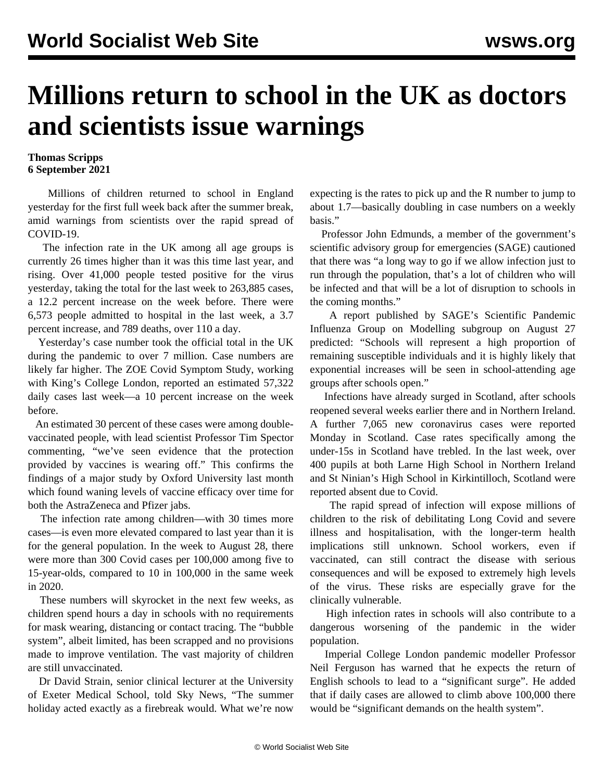## **Millions return to school in the UK as doctors and scientists issue warnings**

## **Thomas Scripps 6 September 2021**

 Millions of children returned to school in England yesterday for the first full week back after the summer break, amid warnings from scientists over the rapid spread of COVID-19.

 The infection rate in the UK among all age groups is currently 26 times higher than it was this time last year, and rising. Over 41,000 people tested positive for the virus yesterday, taking the total for the last week to 263,885 cases, a 12.2 percent increase on the week before. There were 6,573 people admitted to hospital in the last week, a 3.7 percent increase, and 789 deaths, over 110 a day.

 Yesterday's case number took the official total in the UK during the pandemic to over 7 million. Case numbers are likely far higher. The ZOE Covid Symptom Study, working with King's College London, reported an estimated 57,322 daily cases last week—a 10 percent increase on the week before.

 An estimated 30 percent of these cases were among doublevaccinated people, with lead scientist Professor Tim Spector commenting, "we've seen evidence that the protection provided by vaccines is wearing off." This confirms the [findings](/en/articles/2021/08/19/couk-a19.html) of a major study by Oxford University last month which found waning levels of vaccine efficacy over time for both the AstraZeneca and Pfizer jabs.

 The infection rate among children—with 30 times more cases—is even more elevated compared to last year than it is for the general population. In the week to August 28, there were more than 300 Covid cases per 100,000 among five to 15-year-olds, compared to 10 in 100,000 in the same week in 2020.

 These numbers will skyrocket in the next few weeks, as children spend hours a day in schools with no requirements for mask wearing, distancing or contact tracing. The "bubble system", albeit limited, has been scrapped and no provisions made to improve ventilation. The vast majority of children are still unvaccinated.

 Dr David Strain, senior clinical lecturer at the University of Exeter Medical School, told Sky News, "The summer holiday acted exactly as a firebreak would. What we're now expecting is the rates to pick up and the R number to jump to about 1.7—basically doubling in case numbers on a weekly basis."

 Professor John Edmunds, a member of the government's scientific advisory group for emergencies (SAGE) cautioned that there was "a long way to go if we allow infection just to run through the population, that's a lot of children who will be infected and that will be a lot of disruption to schools in the coming months."

 A report published by SAGE's Scientific Pandemic Influenza Group on Modelling subgroup on August 27 predicted: "Schools will represent a high proportion of remaining susceptible individuals and it is highly likely that exponential increases will be seen in school-attending age groups after schools open."

 Infections have already [surged](/en/articles/2021/08/30/scot-a30.html) in Scotland, after schools reopened several weeks earlier there and in Northern Ireland. A further 7,065 new coronavirus cases were reported Monday in Scotland. Case rates specifically among the under-15s in Scotland have trebled. In the last week, over 400 pupils at both Larne High School in Northern Ireland and St Ninian's High School in Kirkintilloch, Scotland were reported absent due to Covid.

 The rapid spread of infection will expose millions of children to the risk of debilitating Long Covid and severe illness and hospitalisation, with the longer-term health implications still unknown. School workers, even if vaccinated, can still contract the disease with serious consequences and will be exposed to extremely high levels of the virus. These risks are especially grave for the clinically vulnerable.

 High infection rates in schools will also contribute to a dangerous worsening of the pandemic in the wider population.

 Imperial College London pandemic modeller Professor Neil Ferguson has warned that he expects the return of English schools to lead to a "significant surge". He added that if daily cases are allowed to climb above 100,000 there would be "significant demands on the health system".